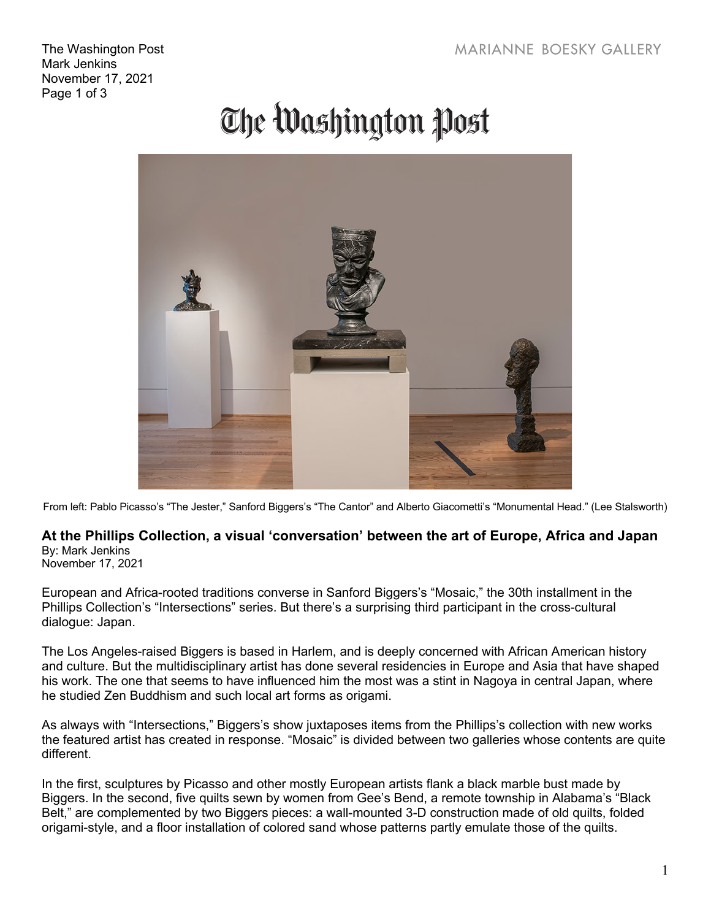The Washington Post Mark Jenkins November 17, 2021 Page 1 of 3

## The Washington Post



From left: Pablo Picasso's "The Jester," Sanford Biggers's "The Cantor" and Alberto Giacometti's "Monumental Head." (Lee Stalsworth)

## **At the Phillips Collection, a visual 'conversation' between the art of Europe, Africa and Japan** By: Mark Jenkins

November 17, 2021

European and Africa-rooted traditions converse in Sanford Biggers's "Mosaic," the 30th installment in the Phillips Collection's "Intersections" series. But there's a surprising third participant in the cross-cultural dialogue: Japan.

The Los Angeles-raised Biggers is based in Harlem, and is deeply concerned with African American history and culture. But the multidisciplinary artist has done several residencies in Europe and Asia that have shaped his work. The one that seems to have influenced him the most was a stint in Nagoya in central Japan, where he studied Zen Buddhism and such local art forms as origami.

As always with "Intersections," Biggers's show juxtaposes items from the Phillips's collection with new works the featured artist has created in response. "Mosaic" is divided between two galleries whose contents are quite different.

In the first, sculptures by Picasso and other mostly European artists flank a black marble bust made by Biggers. In the second, five quilts sewn by women from Gee's Bend, a remote township in Alabama's "Black Belt," are complemented by two Biggers pieces: a wall-mounted 3-D construction made of old quilts, folded origami-style, and a floor installation of colored sand whose patterns partly emulate those of the quilts.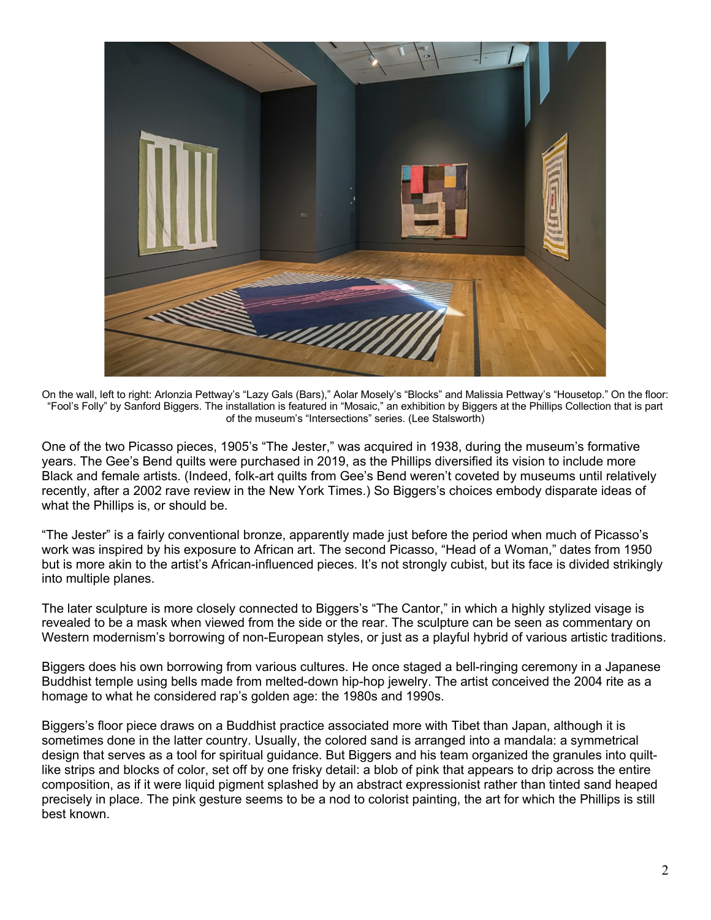

On the wall, left to right: Arlonzia Pettway's "Lazy Gals (Bars)," Aolar Mosely's "Blocks" and Malissia Pettway's "Housetop." On the floor: "Fool's Folly" by Sanford Biggers. The installation is featured in "Mosaic," an exhibition by Biggers at the Phillips Collection that is part of the museum's "Intersections" series. (Lee Stalsworth)

One of the two Picasso pieces, 1905's "The Jester," was acquired in 1938, during the museum's formative years. The Gee's Bend quilts were purchased in 2019, as the Phillips diversified its vision to include more Black and female artists. (Indeed, folk-art quilts from Gee's Bend weren't coveted by museums until relatively recently, after a 2002 rave review in the New York Times.) So Biggers's choices embody disparate ideas of what the Phillips is, or should be.

"The Jester" is a fairly conventional bronze, apparently made just before the period when much of Picasso's work was inspired by his exposure to African art. The second Picasso, "Head of a Woman," dates from 1950 but is more akin to the artist's African-influenced pieces. It's not strongly cubist, but its face is divided strikingly into multiple planes.

The later sculpture is more closely connected to Biggers's "The Cantor," in which a highly stylized visage is revealed to be a mask when viewed from the side or the rear. The sculpture can be seen as commentary on Western modernism's borrowing of non-European styles, or just as a playful hybrid of various artistic traditions.

Biggers does his own borrowing from various cultures. He once staged a bell-ringing ceremony in a Japanese Buddhist temple using bells made from melted-down hip-hop jewelry. The artist conceived the 2004 rite as a homage to what he considered rap's golden age: the 1980s and 1990s.

Biggers's floor piece draws on a Buddhist practice associated more with Tibet than Japan, although it is sometimes done in the latter country. Usually, the colored sand is arranged into a mandala: a symmetrical design that serves as a tool for spiritual guidance. But Biggers and his team organized the granules into quiltlike strips and blocks of color, set off by one frisky detail: a blob of pink that appears to drip across the entire composition, as if it were liquid pigment splashed by an abstract expressionist rather than tinted sand heaped precisely in place. The pink gesture seems to be a nod to colorist painting, the art for which the Phillips is still best known.